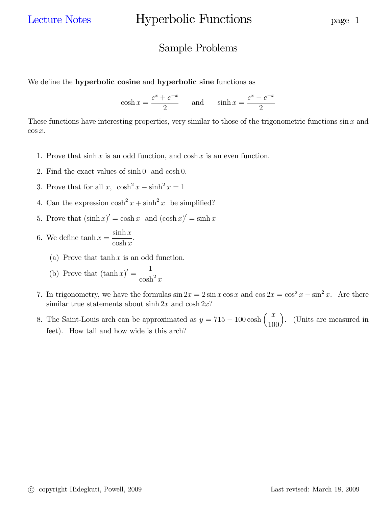## Sample Problems

We define the **hyperbolic cosine** and **hyperbolic sine** functions as

 $\cosh x =$  $e^x + e^{-x}$ 2 and  $\sinh x =$  $e^x - e^{-x}$ 2

These functions have interesting properties, very similar to those of the trigonometric functions  $\sin x$  and  $\cos x$ .

- 1. Prove that  $\sinh x$  is an odd function, and  $\cosh x$  is an even function.
- 2. Find the exact values of sinh 0 and cosh 0.
- 3. Prove that for all  $x$ ,  $\cosh^2 x \sinh^2 x = 1$
- 4. Can the expression  $\cosh^2 x + \sinh^2 x$  be simplified?
- 5. Prove that  $(\sinh x)' = \cosh x$  and  $(\cosh x)' = \sinh x$
- 6. We define  $\tanh x =$  $\sinh x$  $\cosh x$ .
	- (a) Prove that  $\tanh x$  is an odd function.
	- (b) Prove that  $(\tanh x)' =$ 1  $\cosh^2 x$
- 7. In trigonometry, we have the formulas  $\sin 2x = 2 \sin x \cos x$  and  $\cos 2x = \cos^2 x \sin^2 x$ . Are there similar true statements about  $\sinh 2x$  and  $\cosh 2x$ ?
- 8. The Saint-Louis arch can be approximated as  $y = 715 100 \cosh\left(\frac{x}{100}\right)$  . (Units are measured in feet). How tall and how wide is this arch?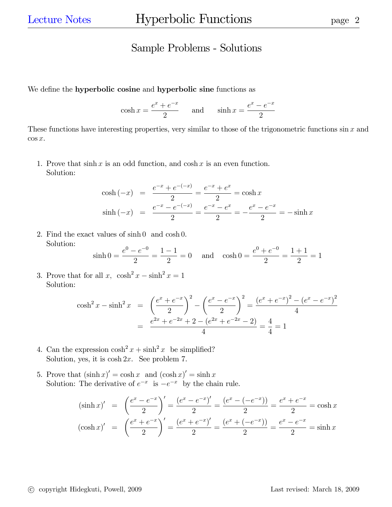## Sample Problems - Solutions

We define the **hyperbolic cosine** and **hyperbolic sine** functions as

 $\cosh x =$  $e^x + e^{-x}$ 2 and  $\sinh x =$  $e^x - e^{-x}$ 2

These functions have interesting properties, very similar to those of the trigonometric functions  $\sin x$  and  $\cos x$ .

1. Prove that  $\sinh x$  is an odd function, and  $\cosh x$  is an even function. Solution:

$$
\cosh(-x) = \frac{e^{-x} + e^{-(-x)}}{2} = \frac{e^{-x} + e^{x}}{2} = \cosh x
$$
  

$$
\sinh(-x) = \frac{e^{-x} - e^{-(-x)}}{2} = \frac{e^{-x} - e^{x}}{2} = -\frac{e^{x} - e^{-x}}{2} = -\sinh x
$$

2. Find the exact values of sinh 0 and cosh 0. Solution:

$$
\sinh 0 = \frac{e^0 - e^{-0}}{2} = \frac{1 - 1}{2} = 0 \quad \text{and} \quad \cosh 0 = \frac{e^0 + e^{-0}}{2} = \frac{1 + 1}{2} = 1
$$

3. Prove that for all  $x$ ,  $\cosh^2 x - \sinh^2 x = 1$ Solution:

$$
\cosh^2 x - \sinh^2 x = \left(\frac{e^x + e^{-x}}{2}\right)^2 - \left(\frac{e^x - e^{-x}}{2}\right)^2 = \frac{(e^x + e^{-x})^2 - (e^x - e^{-x})^2}{4}
$$

$$
= \frac{e^{2x} + e^{-2x} + 2 - (e^{2x} + e^{-2x} - 2)}{4} = \frac{4}{4} = 1
$$

- 4. Can the expression  $\cosh^2 x + \sinh^2 x$  be simplified? Solution, yes, it is  $\cosh 2x$ . See problem 7.
- 5. Prove that  $(\sinh x)' = \cosh x$  and  $(\cosh x)' = \sinh x$ Solution: The derivative of  $e^{-x}$  is  $-e^{-x}$  by the chain rule.

$$
(\sinh x)' = \left(\frac{e^x - e^{-x}}{2}\right)' = \frac{(e^x - e^{-x})'}{2} = \frac{(e^x - (-e^{-x}))}{2} = \frac{e^x + e^{-x}}{2} = \cosh x
$$

$$
(\cosh x)' = \left(\frac{e^x + e^{-x}}{2}\right)' = \frac{(e^x + e^{-x})'}{2} = \frac{(e^x + (-e^{-x}))}{2} = \frac{e^x - e^{-x}}{2} = \sinh x
$$